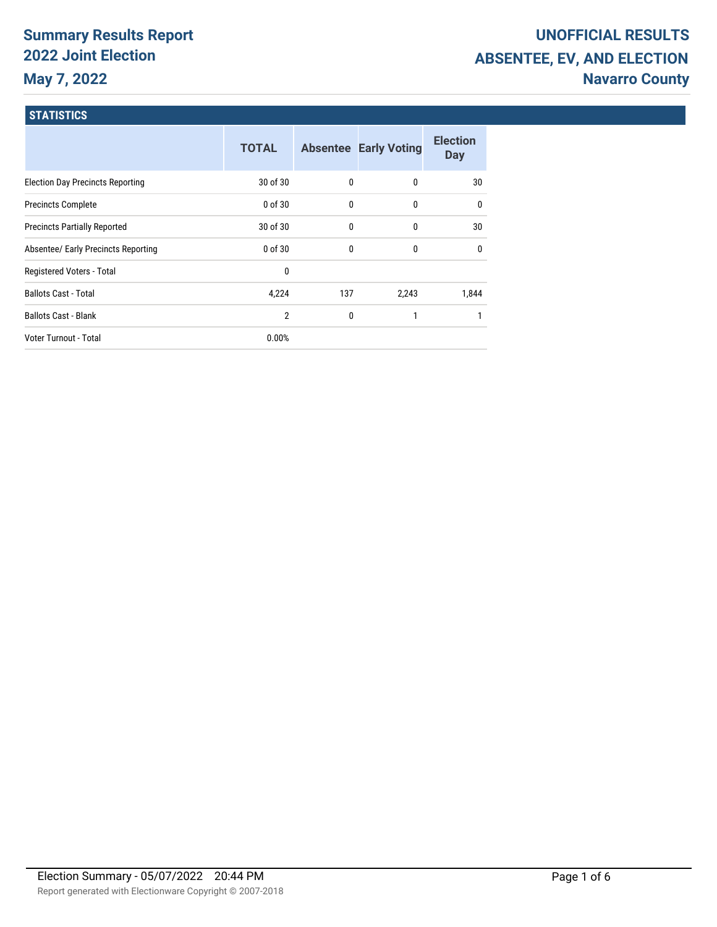# **Summary Results Report 2022 Joint Election May 7, 2022**

# **UNOFFICIAL RESULTS ABSENTEE, EV, AND ELECTION Navarro County**

#### **STATISTICS**

|                                         | <b>TOTAL</b> |     | <b>Absentee Early Voting</b> | <b>Election</b><br>Day |
|-----------------------------------------|--------------|-----|------------------------------|------------------------|
| <b>Election Day Precincts Reporting</b> | 30 of 30     | 0   | $\mathbf{0}$                 | 30                     |
| <b>Precincts Complete</b>               | 0 of 30      | 0   | 0                            | $\mathbf{0}$           |
| <b>Precincts Partially Reported</b>     | 30 of 30     | 0   | 0                            | 30                     |
| Absentee/ Early Precincts Reporting     | 0 of 30      | 0   | 0                            | $\mathbf{0}$           |
| Registered Voters - Total               | 0            |     |                              |                        |
| <b>Ballots Cast - Total</b>             | 4,224        | 137 | 2,243                        | 1,844                  |
| <b>Ballots Cast - Blank</b>             | 2            | 0   |                              |                        |
| Voter Turnout - Total                   | 0.00%        |     |                              |                        |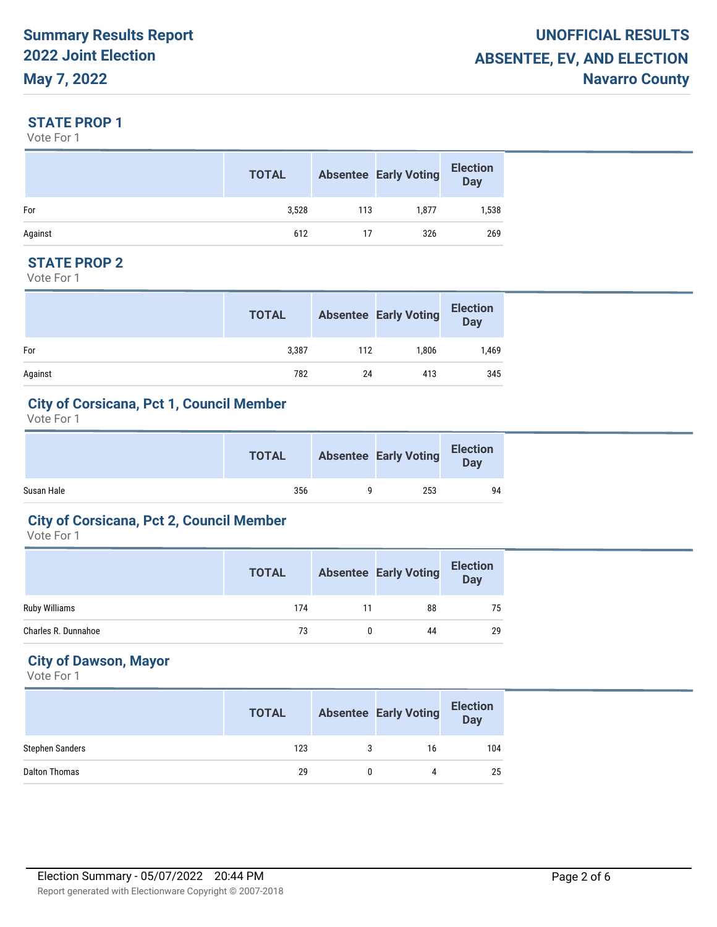#### **STATE PROP 1**

Vote For 1

|         | <b>TOTAL</b> |     | <b>Absentee Early Voting</b> | <b>Election</b><br><b>Day</b> |
|---------|--------------|-----|------------------------------|-------------------------------|
| For     | 3,528        | 113 | 1,877                        | 1,538                         |
| Against | 612          | 17  | 326                          | 269                           |

#### **STATE PROP 2**

Vote For 1

|         | <b>TOTAL</b> |     | <b>Absentee Early Voting</b> | <b>Election</b><br><b>Day</b> |
|---------|--------------|-----|------------------------------|-------------------------------|
| For     | 3,387        | 112 | 1,806                        | 1,469                         |
| Against | 782          | 24  | 413                          | 345                           |

#### **City of Corsicana, Pct 1, Council Member**

Vote For 1

|            | <b>TOTAL</b> | <b>Absentee Early Voting</b> | <b>Election</b><br>Day |  |
|------------|--------------|------------------------------|------------------------|--|
| Susan Hale | 356          | 253                          | 94                     |  |

#### **City of Corsicana, Pct 2, Council Member**

Vote For 1

|                      | <b>TOTAL</b> |    | <b>Absentee Early Voting</b> | <b>Election</b><br>Day |
|----------------------|--------------|----|------------------------------|------------------------|
| <b>Ruby Williams</b> | 174          | 11 | 88                           | 75                     |
| Charles R. Dunnahoe  | 73           |    | 44                           | 29                     |

## **City of Dawson, Mayor**

|                        | <b>TOTAL</b> |   | <b>Absentee Early Voting</b> | <b>Election</b><br><b>Day</b> |
|------------------------|--------------|---|------------------------------|-------------------------------|
| <b>Stephen Sanders</b> | 123          | 3 | 16                           | 104                           |
| Dalton Thomas          | 29           |   | 4                            | 25                            |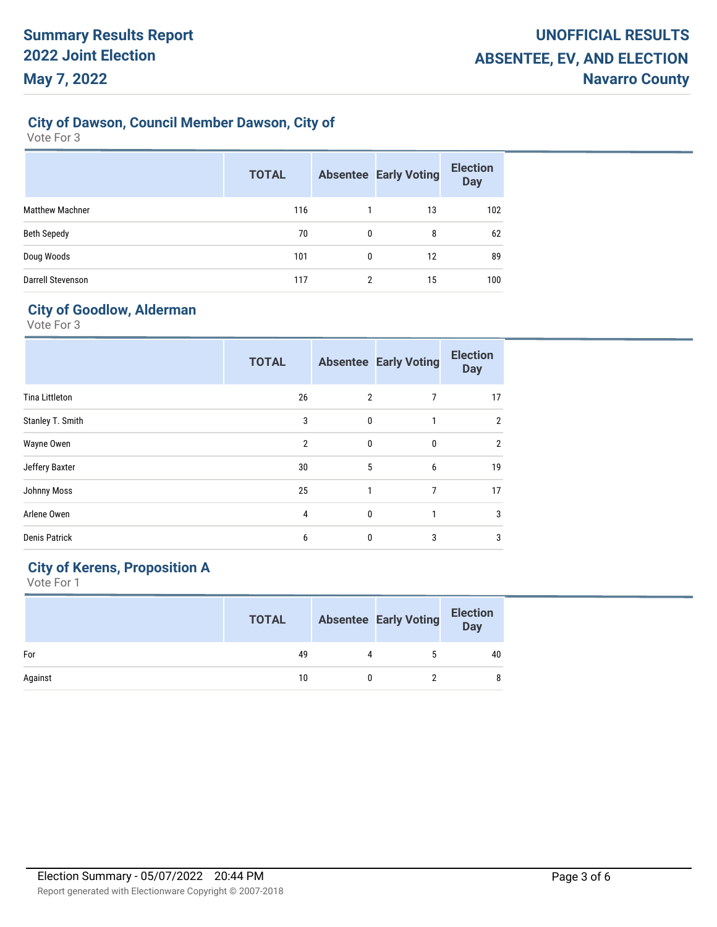### **City of Dawson, Council Member Dawson, City of**

Vote For 3

|                        | <b>TOTAL</b> |   | <b>Absentee Early Voting</b> | <b>Election</b><br><b>Day</b> |
|------------------------|--------------|---|------------------------------|-------------------------------|
| <b>Matthew Machner</b> | 116          |   | 13                           | 102                           |
| Beth Sepedy            | 70           | 0 | 8                            | 62                            |
| Doug Woods             | 101          | 0 | 12                           | 89                            |
| Darrell Stevenson      | 117          | 2 | 15                           | 100                           |

# **City of Goodlow, Alderman**

Vote For 3

|                       | <b>TOTAL</b>   |                | <b>Absentee Early Voting</b> | <b>Election</b><br><b>Day</b> |
|-----------------------|----------------|----------------|------------------------------|-------------------------------|
| <b>Tina Littleton</b> | 26             | $\overline{2}$ | 7                            | 17                            |
| Stanley T. Smith      | 3              | $\mathbf{0}$   | $\mathbf{1}$                 | $\overline{2}$                |
| Wayne Owen            | $\overline{2}$ | $\mathbf{0}$   | $\mathbf{0}$                 | $\overline{2}$                |
| Jeffery Baxter        | 30             | 5              | 6                            | 19                            |
| Johnny Moss           | 25             | 1              | 7                            | 17                            |
| Arlene Owen           | 4              | $\mathbf{0}$   |                              | 3                             |
| <b>Denis Patrick</b>  | 6              | $\mathbf{0}$   | 3                            | 3                             |

### **City of Kerens, Proposition A**

|         | <b>TOTAL</b> |   | <b>Absentee Early Voting</b> | <b>Election</b><br>Day |
|---------|--------------|---|------------------------------|------------------------|
| For     | 49           | 4 |                              | 40                     |
| Against | 10           |   |                              | 8                      |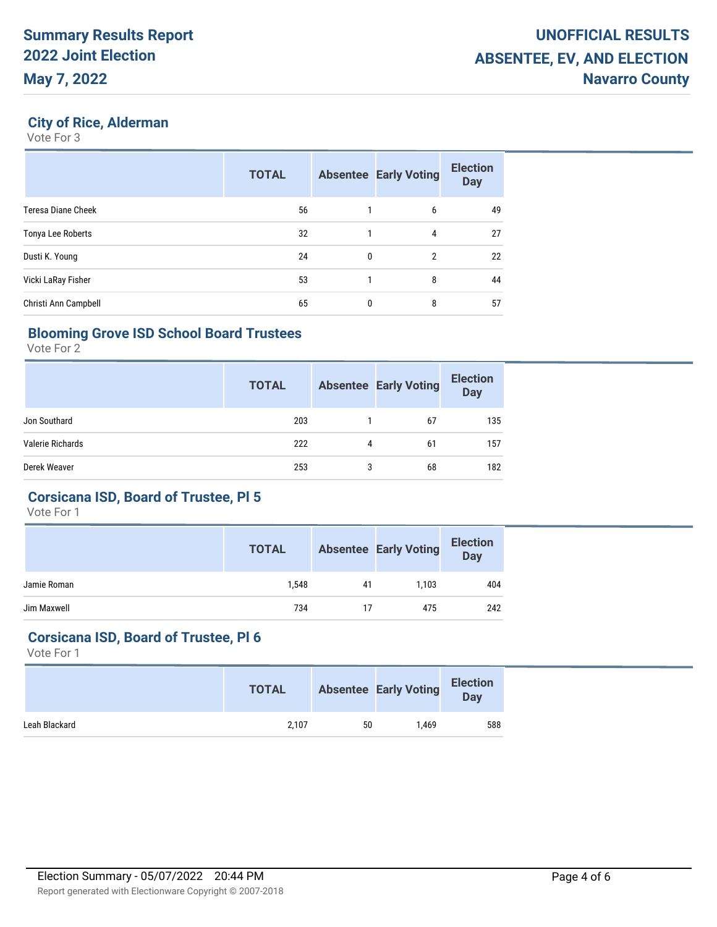#### **City of Rice, Alderman**

Vote For 3

|                      | <b>TOTAL</b> |              | <b>Absentee Early Voting</b> | <b>Election</b><br><b>Day</b> |
|----------------------|--------------|--------------|------------------------------|-------------------------------|
| Teresa Diane Cheek   | 56           |              | 6                            | 49                            |
| Tonya Lee Roberts    | 32           |              | 4                            | 27                            |
| Dusti K. Young       | 24           | $\mathbf{0}$ | 2                            | 22                            |
| Vicki LaRay Fisher   | 53           |              | 8                            | 44                            |
| Christi Ann Campbell | 65           | 0            | 8                            | 57                            |

#### **Blooming Grove ISD School Board Trustees**

Vote For 2

|                  | <b>TOTAL</b> |   | <b>Absentee Early Voting</b> | <b>Election</b><br><b>Day</b> |
|------------------|--------------|---|------------------------------|-------------------------------|
| Jon Southard     | 203          |   | 67                           | 135                           |
| Valerie Richards | 222          | 4 | 61                           | 157                           |
| Derek Weaver     | 253          | 3 | 68                           | 182                           |

#### **Corsicana ISD, Board of Trustee, Pl 5**

Vote For 1

|             | <b>TOTAL</b> |    | <b>Absentee Early Voting</b> | <b>Election</b><br><b>Day</b> |
|-------------|--------------|----|------------------------------|-------------------------------|
| Jamie Roman | 1,548        | 41 | 1.103                        | 404                           |
| Jim Maxwell | 734          | 17 | 475                          | 242                           |

#### **Corsicana ISD, Board of Trustee, Pl 6**

|               | <b>TOTAL</b> |    | <b>Absentee Early Voting</b> | <b>Election</b><br><b>Day</b> |
|---------------|--------------|----|------------------------------|-------------------------------|
| Leah Blackard | 2,107        | 50 | 1.469                        | 588                           |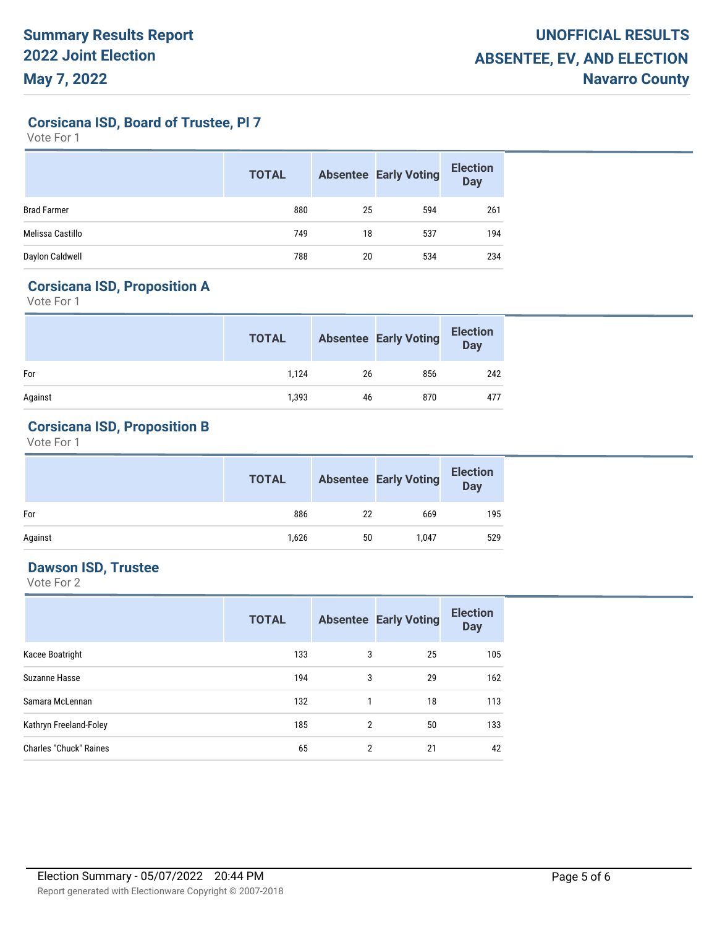**Corsicana ISD, Board of Trustee, Pl 7**

Vote For 1

|                    | <b>TOTAL</b> |    | <b>Absentee Early Voting</b> | <b>Election</b><br><b>Day</b> |
|--------------------|--------------|----|------------------------------|-------------------------------|
| <b>Brad Farmer</b> | 880          | 25 | 594                          | 261                           |
| Melissa Castillo   | 749          | 18 | 537                          | 194                           |
| Daylon Caldwell    | 788          | 20 | 534                          | 234                           |

#### **Corsicana ISD, Proposition A**

Vote For 1

|         | <b>TOTAL</b> |    | <b>Absentee Early Voting</b> | <b>Election</b><br>Day |
|---------|--------------|----|------------------------------|------------------------|
| For     | 1,124        | 26 | 856                          | 242                    |
| Against | 1,393        | 46 | 870                          | 477                    |

# **Corsicana ISD, Proposition B**

Vote For 1

|         | <b>TOTAL</b> |    | <b>Absentee Early Voting</b> | <b>Election</b><br>Day |
|---------|--------------|----|------------------------------|------------------------|
| For     | 886          | 22 | 669                          | 195                    |
| Against | 1,626        | 50 | 1,047                        | 529                    |

#### **Dawson ISD, Trustee**

|                               | <b>TOTAL</b> |   | <b>Absentee Early Voting</b> | <b>Election</b><br><b>Day</b> |
|-------------------------------|--------------|---|------------------------------|-------------------------------|
| Kacee Boatright               | 133          | 3 | 25                           | 105                           |
| Suzanne Hasse                 | 194          | 3 | 29                           | 162                           |
| Samara McLennan               | 132          |   | 18                           | 113                           |
| Kathryn Freeland-Foley        | 185          | 2 | 50                           | 133                           |
| <b>Charles "Chuck" Raines</b> | 65           | 2 | 21                           | 42                            |